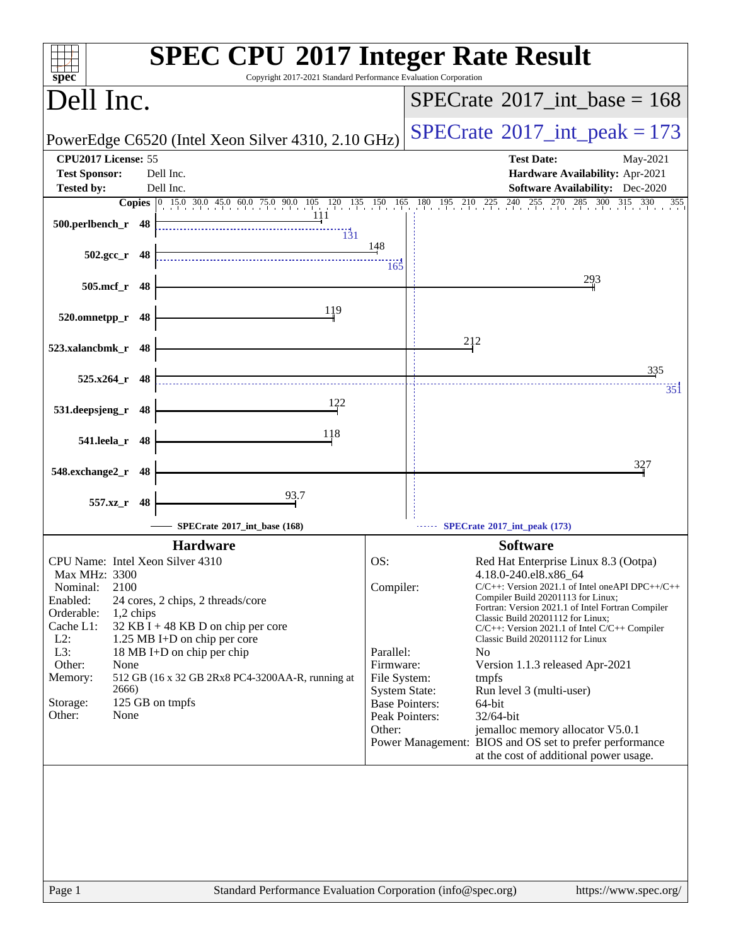| Copyright 2017-2021 Standard Performance Evaluation Corporation<br>$sp\overline{ec}$                                                                                                                                                                                                                                                                                                                                                    | <b>SPEC CPU®2017 Integer Rate Result</b>                                                                                                                                                                                                                                                                                                                                                                                                                                                                                                                                                                                                                                                                                                            |
|-----------------------------------------------------------------------------------------------------------------------------------------------------------------------------------------------------------------------------------------------------------------------------------------------------------------------------------------------------------------------------------------------------------------------------------------|-----------------------------------------------------------------------------------------------------------------------------------------------------------------------------------------------------------------------------------------------------------------------------------------------------------------------------------------------------------------------------------------------------------------------------------------------------------------------------------------------------------------------------------------------------------------------------------------------------------------------------------------------------------------------------------------------------------------------------------------------------|
| Dell Inc.                                                                                                                                                                                                                                                                                                                                                                                                                               | $SPECrate^{\circledast}2017\_int\_base = 168$                                                                                                                                                                                                                                                                                                                                                                                                                                                                                                                                                                                                                                                                                                       |
| PowerEdge C6520 (Intel Xeon Silver 4310, 2.10 GHz)                                                                                                                                                                                                                                                                                                                                                                                      | $SPECrate^{\circ}2017\_int\_peak = 173$                                                                                                                                                                                                                                                                                                                                                                                                                                                                                                                                                                                                                                                                                                             |
| CPU2017 License: 55<br><b>Test Sponsor:</b><br>Dell Inc.<br>Dell Inc.<br><b>Tested by:</b>                                                                                                                                                                                                                                                                                                                                              | <b>Test Date:</b><br>May-2021<br>Hardware Availability: Apr-2021<br><b>Software Availability:</b> Dec-2020                                                                                                                                                                                                                                                                                                                                                                                                                                                                                                                                                                                                                                          |
| <b>Copies</b> 0 15.0 30.0 45.0 60.0 75.0 90.0 105 120 135 150 165 180 195 210 225 240                                                                                                                                                                                                                                                                                                                                                   | $^{255}$<br>285 300 315 330<br>270<br>355                                                                                                                                                                                                                                                                                                                                                                                                                                                                                                                                                                                                                                                                                                           |
| -111<br>500.perlbench_r 48<br>$\frac{131}{131}$                                                                                                                                                                                                                                                                                                                                                                                         |                                                                                                                                                                                                                                                                                                                                                                                                                                                                                                                                                                                                                                                                                                                                                     |
| $502.\text{gcc r}$ 48                                                                                                                                                                                                                                                                                                                                                                                                                   | 148<br>165                                                                                                                                                                                                                                                                                                                                                                                                                                                                                                                                                                                                                                                                                                                                          |
| 505.mcf_r<br>- 48                                                                                                                                                                                                                                                                                                                                                                                                                       | 293                                                                                                                                                                                                                                                                                                                                                                                                                                                                                                                                                                                                                                                                                                                                                 |
| 119<br>520.omnetpp_r<br>48                                                                                                                                                                                                                                                                                                                                                                                                              |                                                                                                                                                                                                                                                                                                                                                                                                                                                                                                                                                                                                                                                                                                                                                     |
| 523.xalancbmk_r 48                                                                                                                                                                                                                                                                                                                                                                                                                      | 212                                                                                                                                                                                                                                                                                                                                                                                                                                                                                                                                                                                                                                                                                                                                                 |
| $525.x264$ r 48                                                                                                                                                                                                                                                                                                                                                                                                                         | 335<br>351                                                                                                                                                                                                                                                                                                                                                                                                                                                                                                                                                                                                                                                                                                                                          |
| 122<br>531.deepsjeng_r 48                                                                                                                                                                                                                                                                                                                                                                                                               |                                                                                                                                                                                                                                                                                                                                                                                                                                                                                                                                                                                                                                                                                                                                                     |
| 118<br>541.leela_r 48                                                                                                                                                                                                                                                                                                                                                                                                                   |                                                                                                                                                                                                                                                                                                                                                                                                                                                                                                                                                                                                                                                                                                                                                     |
| 548.exchange2_r<br>48                                                                                                                                                                                                                                                                                                                                                                                                                   | 327                                                                                                                                                                                                                                                                                                                                                                                                                                                                                                                                                                                                                                                                                                                                                 |
| 93.7<br>557.xz_r 48                                                                                                                                                                                                                                                                                                                                                                                                                     |                                                                                                                                                                                                                                                                                                                                                                                                                                                                                                                                                                                                                                                                                                                                                     |
| SPECrate®2017_int_base (168)                                                                                                                                                                                                                                                                                                                                                                                                            | SPECrate®2017_int_peak (173)                                                                                                                                                                                                                                                                                                                                                                                                                                                                                                                                                                                                                                                                                                                        |
| <b>Hardware</b>                                                                                                                                                                                                                                                                                                                                                                                                                         | <b>Software</b>                                                                                                                                                                                                                                                                                                                                                                                                                                                                                                                                                                                                                                                                                                                                     |
| CPU Name: Intel Xeon Silver 4310<br><b>Max MHz: 3300</b><br>2100<br>Nominal:<br>Enabled:<br>24 cores, 2 chips, 2 threads/core<br>Orderable:<br>$1,2$ chips<br>Cache L1:<br>32 KB I + 48 KB D on chip per core<br>$L2$ :<br>1.25 MB I+D on chip per core<br>L3:<br>18 MB I+D on chip per chip<br>Other:<br>None<br>Memory:<br>512 GB (16 x 32 GB 2Rx8 PC4-3200AA-R, running at<br>2666)<br>125 GB on tmpfs<br>Storage:<br>None<br>Other: | OS:<br>Red Hat Enterprise Linux 8.3 (Ootpa)<br>4.18.0-240.el8.x86_64<br>$C/C++$ : Version 2021.1 of Intel one API DPC++/C++<br>Compiler:<br>Compiler Build 20201113 for Linux;<br>Fortran: Version 2021.1 of Intel Fortran Compiler<br>Classic Build 20201112 for Linux;<br>$C/C++$ : Version 2021.1 of Intel $C/C++$ Compiler<br>Classic Build 20201112 for Linux<br>Parallel:<br>N <sub>0</sub><br>Firmware:<br>Version 1.1.3 released Apr-2021<br>File System:<br>tmpfs<br><b>System State:</b><br>Run level 3 (multi-user)<br><b>Base Pointers:</b><br>64-bit<br>Peak Pointers:<br>32/64-bit<br>Other:<br>jemalloc memory allocator V5.0.1<br>Power Management: BIOS and OS set to prefer performance<br>at the cost of additional power usage. |
| Page 1                                                                                                                                                                                                                                                                                                                                                                                                                                  | Standard Performance Evaluation Corporation (info@spec.org)<br>https://www.spec.org/                                                                                                                                                                                                                                                                                                                                                                                                                                                                                                                                                                                                                                                                |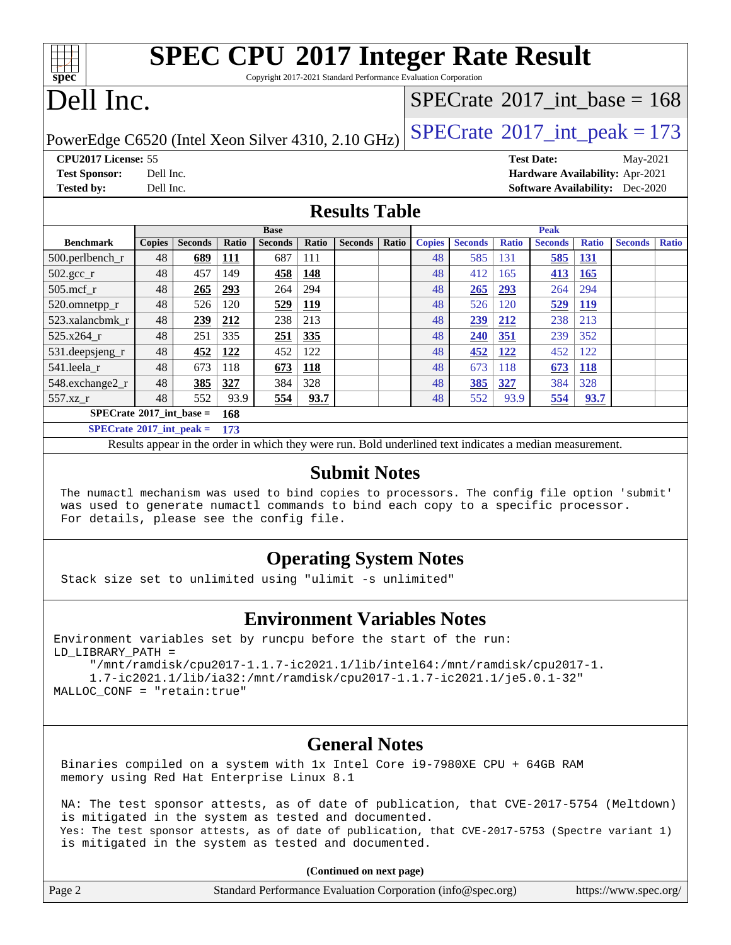Copyright 2017-2021 Standard Performance Evaluation Corporation

# Dell Inc.

**[spec](http://www.spec.org/)**

#### $SPECTate@2017_int\_base = 168$

PowerEdge C6520 (Intel Xeon Silver 4310, 2.10 GHz)  $\left|$  [SPECrate](http://www.spec.org/auto/cpu2017/Docs/result-fields.html#SPECrate2017intpeak)<sup>®</sup>[2017\\_int\\_peak = 1](http://www.spec.org/auto/cpu2017/Docs/result-fields.html#SPECrate2017intpeak)73

**[CPU2017 License:](http://www.spec.org/auto/cpu2017/Docs/result-fields.html#CPU2017License)** 55 **[Test Date:](http://www.spec.org/auto/cpu2017/Docs/result-fields.html#TestDate)** May-2021 **[Test Sponsor:](http://www.spec.org/auto/cpu2017/Docs/result-fields.html#TestSponsor)** Dell Inc. **[Hardware Availability:](http://www.spec.org/auto/cpu2017/Docs/result-fields.html#HardwareAvailability)** Apr-2021 **[Tested by:](http://www.spec.org/auto/cpu2017/Docs/result-fields.html#Testedby)** Dell Inc. **[Software Availability:](http://www.spec.org/auto/cpu2017/Docs/result-fields.html#SoftwareAvailability)** Dec-2020

#### **[Results Table](http://www.spec.org/auto/cpu2017/Docs/result-fields.html#ResultsTable)**

|                                          |               |                |            | <b>Base</b>    |            |                |       |               |                |              | <b>Peak</b>    |              |                |              |
|------------------------------------------|---------------|----------------|------------|----------------|------------|----------------|-------|---------------|----------------|--------------|----------------|--------------|----------------|--------------|
| <b>Benchmark</b>                         | <b>Copies</b> | <b>Seconds</b> | Ratio      | <b>Seconds</b> | Ratio      | <b>Seconds</b> | Ratio | <b>Copies</b> | <b>Seconds</b> | <b>Ratio</b> | <b>Seconds</b> | <b>Ratio</b> | <b>Seconds</b> | <b>Ratio</b> |
| $500.$ perlbench_r                       | 48            | 689            | <u>111</u> | 687            | 111        |                |       | 48            | 585            | 131          | 585            | <u>131</u>   |                |              |
| $502.\text{sec}$ <sub>r</sub>            | 48            | 457            | 149        | 458            | 148        |                |       | 48            | 412            | 165          | 413            | 165          |                |              |
| $505$ .mcf r                             | 48            | 265            | 293        | 264            | 294        |                |       | 48            | 265            | 293          | 264            | 294          |                |              |
| 520.omnetpp_r                            | 48            | 526            | 120        | 529            | <u>119</u> |                |       | 48            | 526            | 120          | 529            | <u>119</u>   |                |              |
| 523.xalancbmk r                          | 48            | 239            | 212        | 238            | 213        |                |       | 48            | 239            | 212          | 238            | 213          |                |              |
| $525.x264$ r                             | 48            | 251            | 335        | 251            | 335        |                |       | 48            | 240            | 351          | 239            | 352          |                |              |
| 531.deepsjeng_r                          | 48            | 452            | 122        | 452            | 122        |                |       | 48            | 452            | 122          | 452            | 122          |                |              |
| 541.leela r                              | 48            | 673            | 118        | 673            | <b>118</b> |                |       | 48            | 673            | 118          | 673            | <b>118</b>   |                |              |
| 548.exchange2_r                          | 48            | 385            | 327        | 384            | 328        |                |       | 48            | 385            | 327          | 384            | 328          |                |              |
| $557.xz$ _r                              | 48            | 552            | 93.9       | 554            | 93.7       |                |       | 48            | 552            | 93.9         | 554            | 93.7         |                |              |
| $SPECrate^{\circ}2017$ int base =<br>168 |               |                |            |                |            |                |       |               |                |              |                |              |                |              |
| $SPECrate*2017\_int\_peak =$             |               |                | 173        |                |            |                |       |               |                |              |                |              |                |              |

Results appear in the [order in which they were run.](http://www.spec.org/auto/cpu2017/Docs/result-fields.html#RunOrder) Bold underlined text [indicates a median measurement.](http://www.spec.org/auto/cpu2017/Docs/result-fields.html#Median)

#### **[Submit Notes](http://www.spec.org/auto/cpu2017/Docs/result-fields.html#SubmitNotes)**

 The numactl mechanism was used to bind copies to processors. The config file option 'submit' was used to generate numactl commands to bind each copy to a specific processor. For details, please see the config file.

#### **[Operating System Notes](http://www.spec.org/auto/cpu2017/Docs/result-fields.html#OperatingSystemNotes)**

Stack size set to unlimited using "ulimit -s unlimited"

#### **[Environment Variables Notes](http://www.spec.org/auto/cpu2017/Docs/result-fields.html#EnvironmentVariablesNotes)**

```
Environment variables set by runcpu before the start of the run:
LD_LIBRARY_PATH =
      "/mnt/ramdisk/cpu2017-1.1.7-ic2021.1/lib/intel64:/mnt/ramdisk/cpu2017-1.
      1.7-ic2021.1/lib/ia32:/mnt/ramdisk/cpu2017-1.1.7-ic2021.1/je5.0.1-32"
```
#### MALLOC\_CONF = "retain:true"

#### **[General Notes](http://www.spec.org/auto/cpu2017/Docs/result-fields.html#GeneralNotes)**

 Binaries compiled on a system with 1x Intel Core i9-7980XE CPU + 64GB RAM memory using Red Hat Enterprise Linux 8.1

 NA: The test sponsor attests, as of date of publication, that CVE-2017-5754 (Meltdown) is mitigated in the system as tested and documented. Yes: The test sponsor attests, as of date of publication, that CVE-2017-5753 (Spectre variant 1) is mitigated in the system as tested and documented.

**(Continued on next page)**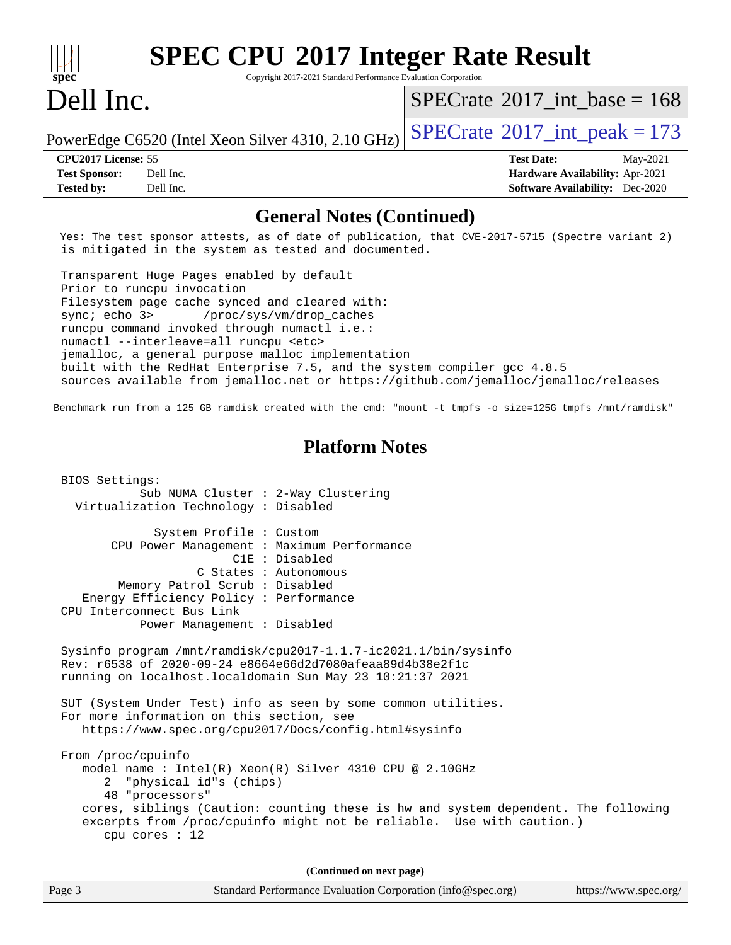| <b>SPEC CPU®2017 Integer Rate Result</b><br>Copyright 2017-2021 Standard Performance Evaluation Corporation<br>spec <sup>®</sup>                                |                                         |                       |
|-----------------------------------------------------------------------------------------------------------------------------------------------------------------|-----------------------------------------|-----------------------|
| Dell Inc.                                                                                                                                                       | $SPECrate^{\circ}2017\_int\_base = 168$ |                       |
| PowerEdge C6520 (Intel Xeon Silver 4310, 2.10 GHz)                                                                                                              | $SPECrate^{\circ}2017\_int\_peak = 173$ |                       |
| CPU2017 License: 55                                                                                                                                             | <b>Test Date:</b>                       | May-2021              |
| <b>Test Sponsor:</b><br>Dell Inc.                                                                                                                               | Hardware Availability: Apr-2021         |                       |
| Dell Inc.<br><b>Tested by:</b>                                                                                                                                  | <b>Software Availability:</b> Dec-2020  |                       |
| <b>General Notes (Continued)</b>                                                                                                                                |                                         |                       |
| Yes: The test sponsor attests, as of date of publication, that CVE-2017-5715 (Spectre variant 2)<br>is mitigated in the system as tested and documented.        |                                         |                       |
| Transparent Huge Pages enabled by default<br>Prior to runcpu invocation                                                                                         |                                         |                       |
| Filesystem page cache synced and cleared with:<br>/proc/sys/vm/drop_caches<br>sync $i$ echo $3$<br>runcpu command invoked through numactl i.e.:                 |                                         |                       |
| numactl --interleave=all runcpu <etc></etc>                                                                                                                     |                                         |                       |
| jemalloc, a general purpose malloc implementation                                                                                                               |                                         |                       |
| built with the RedHat Enterprise 7.5, and the system compiler gcc 4.8.5<br>sources available from jemalloc.net or https://github.com/jemalloc/jemalloc/releases |                                         |                       |
| Benchmark run from a 125 GB ramdisk created with the cmd: "mount -t tmpfs -o size=125G tmpfs /mnt/ramdisk"                                                      |                                         |                       |
| <b>Platform Notes</b>                                                                                                                                           |                                         |                       |
| BIOS Settings:                                                                                                                                                  |                                         |                       |
| Sub NUMA Cluster : 2-Way Clustering<br>Virtualization Technology : Disabled                                                                                     |                                         |                       |
|                                                                                                                                                                 |                                         |                       |
| System Profile : Custom                                                                                                                                         |                                         |                       |
| CPU Power Management : Maximum Performance                                                                                                                      |                                         |                       |
| $C1E$ : Disabled                                                                                                                                                |                                         |                       |
| C States : Autonomous                                                                                                                                           |                                         |                       |
| Memory Patrol Scrub: Disabled                                                                                                                                   |                                         |                       |
| Energy Efficiency Policy : Performance<br>CPU Interconnect Bus Link                                                                                             |                                         |                       |
| Power Management : Disabled                                                                                                                                     |                                         |                       |
|                                                                                                                                                                 |                                         |                       |
| Sysinfo program /mnt/ramdisk/cpu2017-1.1.7-ic2021.1/bin/sysinfo                                                                                                 |                                         |                       |
| Rev: r6538 of 2020-09-24 e8664e66d2d7080afeaa89d4b38e2f1c                                                                                                       |                                         |                       |
| running on localhost.localdomain Sun May 23 10:21:37 2021                                                                                                       |                                         |                       |
| SUT (System Under Test) info as seen by some common utilities.                                                                                                  |                                         |                       |
| For more information on this section, see                                                                                                                       |                                         |                       |
| https://www.spec.org/cpu2017/Docs/config.html#sysinfo                                                                                                           |                                         |                       |
| From /proc/cpuinfo                                                                                                                                              |                                         |                       |
| model name: $Intel(R)$ Xeon(R) Silver 4310 CPU @ 2.10GHz                                                                                                        |                                         |                       |
| "physical id"s (chips)<br>2                                                                                                                                     |                                         |                       |
| 48 "processors"                                                                                                                                                 |                                         |                       |
| cores, siblings (Caution: counting these is hw and system dependent. The following                                                                              |                                         |                       |
| excerpts from /proc/cpuinfo might not be reliable. Use with caution.)<br>cpu cores $: 12$                                                                       |                                         |                       |
| (Continued on next page)                                                                                                                                        |                                         |                       |
|                                                                                                                                                                 |                                         |                       |
| Page 3<br>Standard Performance Evaluation Corporation (info@spec.org)                                                                                           |                                         | https://www.spec.org/ |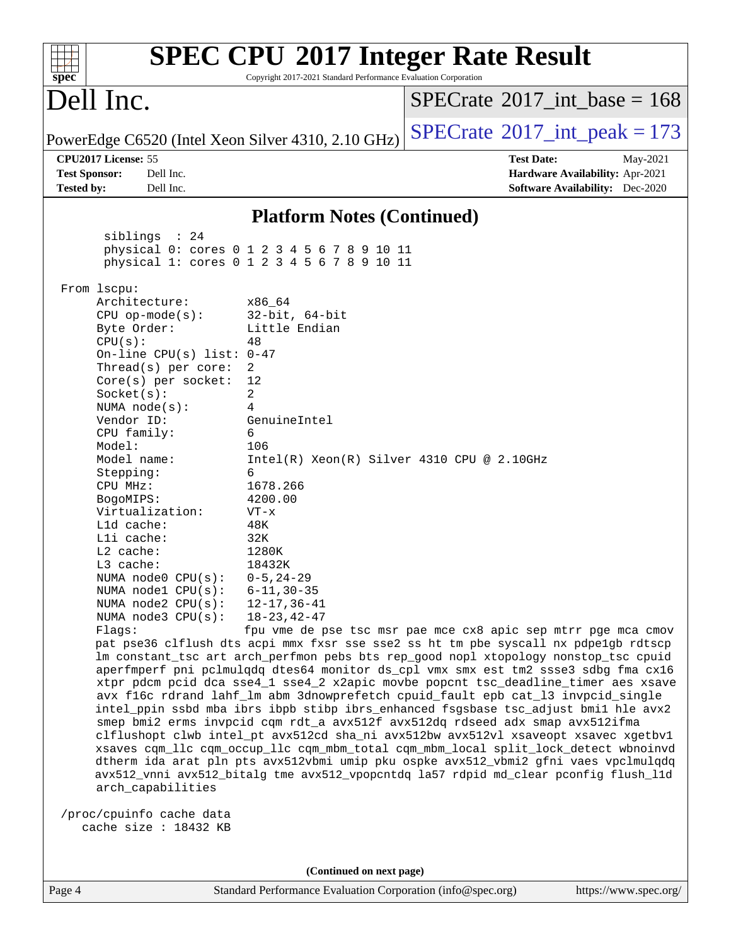| $spec^*$                                                 | Copyright 2017-2021 Standard Performance Evaluation Corporation                            | <b>SPEC CPU®2017 Integer Rate Result</b>                                                                                                                                   |
|----------------------------------------------------------|--------------------------------------------------------------------------------------------|----------------------------------------------------------------------------------------------------------------------------------------------------------------------------|
| Dell Inc.                                                |                                                                                            | $SPECrate^{\circledast}2017$ int base = 168                                                                                                                                |
| PowerEdge C6520 (Intel Xeon Silver 4310, 2.10 GHz)       |                                                                                            | $SPECTate$ <sup>®</sup> 2017_int_peak = 173                                                                                                                                |
| CPU2017 License: 55<br><b>Test Sponsor:</b><br>Dell Inc. |                                                                                            | <b>Test Date:</b><br>May-2021<br>Hardware Availability: Apr-2021                                                                                                           |
| <b>Tested by:</b><br>Dell Inc.                           |                                                                                            | <b>Software Availability:</b> Dec-2020                                                                                                                                     |
|                                                          | <b>Platform Notes (Continued)</b>                                                          |                                                                                                                                                                            |
| siblings : 24                                            |                                                                                            |                                                                                                                                                                            |
|                                                          | physical 0: cores 0 1 2 3 4 5 6 7 8 9 10 11<br>physical 1: cores 0 1 2 3 4 5 6 7 8 9 10 11 |                                                                                                                                                                            |
|                                                          |                                                                                            |                                                                                                                                                                            |
| From lscpu:                                              |                                                                                            |                                                                                                                                                                            |
| Architecture:                                            | x86_64                                                                                     |                                                                                                                                                                            |
| $CPU$ op-mode(s):                                        | $32$ -bit, $64$ -bit                                                                       |                                                                                                                                                                            |
| Byte Order:                                              | Little Endian<br>48                                                                        |                                                                                                                                                                            |
| CPU(s):<br>On-line CPU(s) list: $0-47$                   |                                                                                            |                                                                                                                                                                            |
| Thread( $s$ ) per core:                                  | 2                                                                                          |                                                                                                                                                                            |
| Core(s) per socket:                                      | 12                                                                                         |                                                                                                                                                                            |
| Socket(s):                                               | 2                                                                                          |                                                                                                                                                                            |
| NUMA $node(s):$                                          | 4                                                                                          |                                                                                                                                                                            |
| Vendor ID:                                               | GenuineIntel                                                                               |                                                                                                                                                                            |
| CPU family:<br>Model:                                    | 6<br>106                                                                                   |                                                                                                                                                                            |
| Model name:                                              | $Intel(R) Xeon(R) Silver 4310 CPU @ 2.10GHz$                                               |                                                                                                                                                                            |
| Stepping:                                                | 6                                                                                          |                                                                                                                                                                            |
| CPU MHz:                                                 | 1678.266                                                                                   |                                                                                                                                                                            |
| BogoMIPS:                                                | 4200.00                                                                                    |                                                                                                                                                                            |
| Virtualization:                                          | $VT - x$                                                                                   |                                                                                                                                                                            |
| L1d cache:                                               | 48K                                                                                        |                                                                                                                                                                            |
| Lli cache:                                               | 32K                                                                                        |                                                                                                                                                                            |
| L2 cache:<br>L3 cache:                                   | 1280K<br>18432K                                                                            |                                                                                                                                                                            |
| NUMA node0 $CPU(s): 0-5, 24-29$                          |                                                                                            |                                                                                                                                                                            |
| NUMA nodel $CPU(s):$                                     | $6 - 11, 30 - 35$                                                                          |                                                                                                                                                                            |
| NUMA node2 CPU(s):                                       | $12 - 17, 36 - 41$                                                                         |                                                                                                                                                                            |
| NUMA $node3$ $CPU(s):$                                   | $18 - 23, 42 - 47$                                                                         |                                                                                                                                                                            |
| Flagg:                                                   |                                                                                            | fpu vme de pse tsc msr pae mce cx8 apic sep mtrr pge mca cmov                                                                                                              |
|                                                          |                                                                                            | pat pse36 clflush dts acpi mmx fxsr sse sse2 ss ht tm pbe syscall nx pdpe1gb rdtscp                                                                                        |
|                                                          |                                                                                            | lm constant_tsc art arch_perfmon pebs bts rep_good nopl xtopology nonstop_tsc cpuid<br>aperfmperf pni pclmulqdq dtes64 monitor ds_cpl vmx smx est tm2 ssse3 sdbg fma cx16  |
|                                                          |                                                                                            | xtpr pdcm pcid dca sse4_1 sse4_2 x2apic movbe popcnt tsc_deadline_timer aes xsave                                                                                          |
|                                                          |                                                                                            | avx f16c rdrand lahf_lm abm 3dnowprefetch cpuid_fault epb cat_13 invpcid_single                                                                                            |
|                                                          |                                                                                            | intel_ppin ssbd mba ibrs ibpb stibp ibrs_enhanced fsgsbase tsc_adjust bmil hle avx2                                                                                        |
|                                                          |                                                                                            | smep bmi2 erms invpcid cqm rdt_a avx512f avx512dq rdseed adx smap avx512ifma                                                                                               |
|                                                          |                                                                                            | clflushopt clwb intel_pt avx512cd sha_ni avx512bw avx512vl xsaveopt xsavec xgetbvl                                                                                         |
|                                                          |                                                                                            | xsaves cqm_llc cqm_occup_llc cqm_mbm_total cqm_mbm_local split_lock_detect wbnoinvd<br>dtherm ida arat pln pts avx512vbmi umip pku ospke avx512_vbmi2 gfni vaes vpclmulqdq |
|                                                          |                                                                                            | avx512_vnni avx512_bitalg tme avx512_vpopcntdq la57 rdpid md_clear pconfig flush_11d                                                                                       |
| arch_capabilities                                        |                                                                                            |                                                                                                                                                                            |
|                                                          |                                                                                            |                                                                                                                                                                            |
| /proc/cpuinfo cache data                                 |                                                                                            |                                                                                                                                                                            |
| cache size : 18432 KB                                    |                                                                                            |                                                                                                                                                                            |
|                                                          |                                                                                            |                                                                                                                                                                            |
|                                                          |                                                                                            |                                                                                                                                                                            |
|                                                          | (Continued on next page)                                                                   |                                                                                                                                                                            |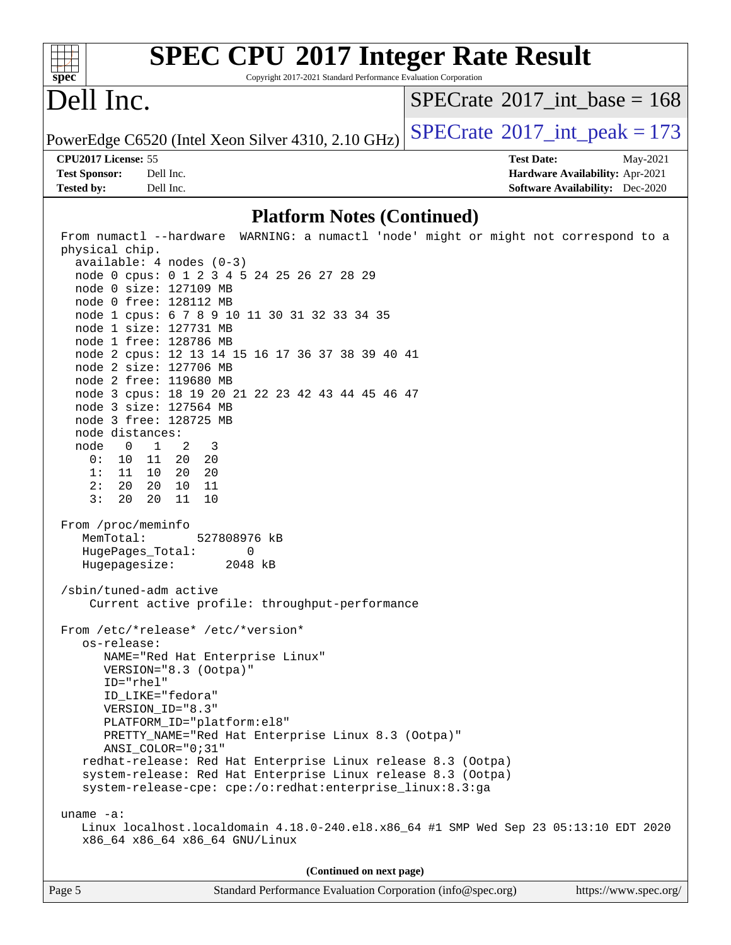

Copyright 2017-2021 Standard Performance Evaluation Corporation

## Dell Inc.

 $SPECrate$ <sup>®</sup>[2017\\_int\\_base =](http://www.spec.org/auto/cpu2017/Docs/result-fields.html#SPECrate2017intbase) 168

PowerEdge C6520 (Intel Xeon Silver 4310, 2.10 GHz)  $\left|$  [SPECrate](http://www.spec.org/auto/cpu2017/Docs/result-fields.html#SPECrate2017intpeak)<sup>®</sup>[2017\\_int\\_peak = 1](http://www.spec.org/auto/cpu2017/Docs/result-fields.html#SPECrate2017intpeak)73

#### **[CPU2017 License:](http://www.spec.org/auto/cpu2017/Docs/result-fields.html#CPU2017License)** 55 **[Test Date:](http://www.spec.org/auto/cpu2017/Docs/result-fields.html#TestDate)** May-2021

**[Tested by:](http://www.spec.org/auto/cpu2017/Docs/result-fields.html#Testedby)** Dell Inc. **[Software Availability:](http://www.spec.org/auto/cpu2017/Docs/result-fields.html#SoftwareAvailability)** Dec-2020

**[Test Sponsor:](http://www.spec.org/auto/cpu2017/Docs/result-fields.html#TestSponsor)** Dell Inc. **[Hardware Availability:](http://www.spec.org/auto/cpu2017/Docs/result-fields.html#HardwareAvailability)** Apr-2021

#### **[Platform Notes \(Continued\)](http://www.spec.org/auto/cpu2017/Docs/result-fields.html#PlatformNotes)**

| From numactl --hardware WARNING: a numactl 'node' might or might not correspond to a                  |
|-------------------------------------------------------------------------------------------------------|
| physical chip.                                                                                        |
| $available: 4 nodes (0-3)$                                                                            |
| node 0 cpus: 0 1 2 3 4 5 24 25 26 27 28 29<br>node 0 size: 127109 MB                                  |
| node 0 free: 128112 MB                                                                                |
| node 1 cpus: 6 7 8 9 10 11 30 31 32 33 34 35                                                          |
| node 1 size: 127731 MB                                                                                |
| node 1 free: 128786 MB                                                                                |
| node 2 cpus: 12 13 14 15 16 17 36 37 38 39 40 41                                                      |
| node 2 size: 127706 MB                                                                                |
| node 2 free: 119680 MB                                                                                |
| node 3 cpus: 18 19 20 21 22 23 42 43 44 45 46 47                                                      |
| node 3 size: 127564 MB                                                                                |
| node 3 free: 128725 MB                                                                                |
| node distances:                                                                                       |
| node 0 1 2 3                                                                                          |
| 0: 10 11 20 20                                                                                        |
| 1: 11 10 20 20<br>2: 20 20 10 11                                                                      |
| 3: 20 20 11 10                                                                                        |
|                                                                                                       |
| From /proc/meminfo                                                                                    |
| MemTotal: 527808976 kB                                                                                |
| HugePages_Total:<br>0                                                                                 |
| Hugepagesize: 2048 kB                                                                                 |
|                                                                                                       |
| /sbin/tuned-adm active                                                                                |
| Current active profile: throughput-performance                                                        |
| From /etc/*release* /etc/*version*                                                                    |
| os-release:                                                                                           |
| NAME="Red Hat Enterprise Linux"                                                                       |
| VERSION="8.3 (Ootpa)"                                                                                 |
| ID="rhel"                                                                                             |
| ID_LIKE="fedora"                                                                                      |
| VERSION_ID="8.3"                                                                                      |
| PLATFORM ID="platform:el8"                                                                            |
| PRETTY_NAME="Red Hat Enterprise Linux 8.3 (Ootpa)"                                                    |
| ANSI_COLOR="0;31"                                                                                     |
| redhat-release: Red Hat Enterprise Linux release 8.3 (Ootpa)                                          |
| system-release: Red Hat Enterprise Linux release 8.3 (Ootpa)                                          |
| system-release-cpe: cpe:/o:redhat:enterprise_linux:8.3:ga                                             |
|                                                                                                       |
| uname $-a$ :<br>Linux localhost.localdomain 4.18.0-240.el8.x86_64 #1 SMP Wed Sep 23 05:13:10 EDT 2020 |
| x86 64 x86 64 x86 64 GNU/Linux                                                                        |
|                                                                                                       |
| (Continued on next page)                                                                              |
|                                                                                                       |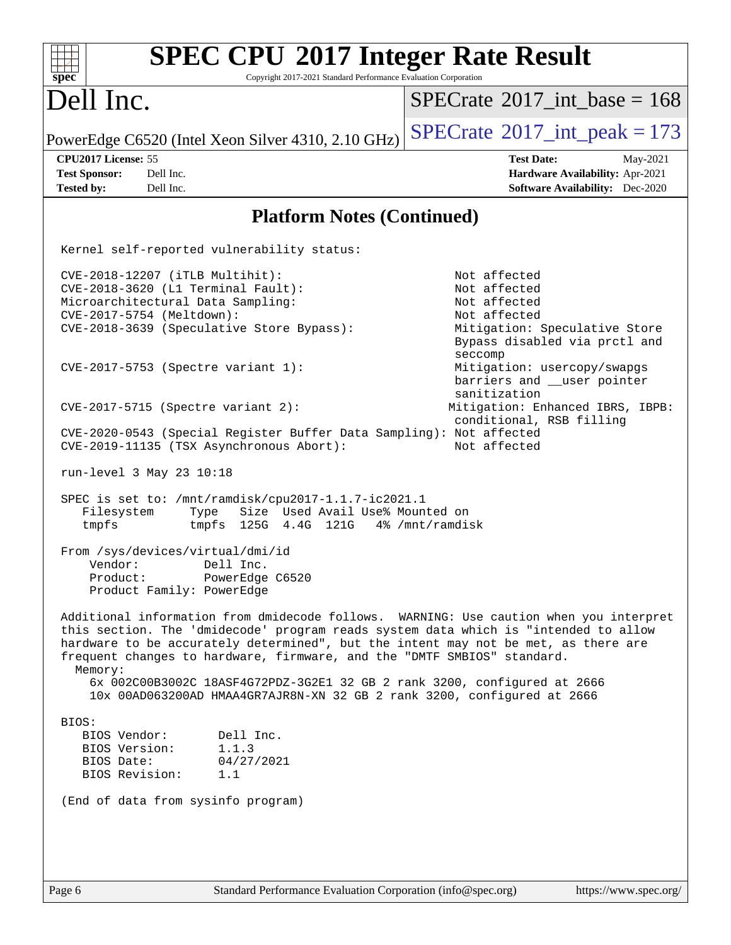| <b>SPEC CPU®2017 Integer Rate Result</b><br>Copyright 2017-2021 Standard Performance Evaluation Corporation<br>spec <sup>®</sup>                                                                                                                                                                                                                                                                                  |                                                                                                                                                                                                                                                                                                         |
|-------------------------------------------------------------------------------------------------------------------------------------------------------------------------------------------------------------------------------------------------------------------------------------------------------------------------------------------------------------------------------------------------------------------|---------------------------------------------------------------------------------------------------------------------------------------------------------------------------------------------------------------------------------------------------------------------------------------------------------|
| Dell Inc.                                                                                                                                                                                                                                                                                                                                                                                                         | $SPECrate^{\circledast}2017$ int base = 168                                                                                                                                                                                                                                                             |
| PowerEdge C6520 (Intel Xeon Silver 4310, 2.10 GHz)                                                                                                                                                                                                                                                                                                                                                                | $SPECTate@2017_int\_peak = 173$                                                                                                                                                                                                                                                                         |
| CPU2017 License: 55<br><b>Test Sponsor:</b><br>Dell Inc.<br><b>Tested by:</b><br>Dell Inc.                                                                                                                                                                                                                                                                                                                        | <b>Test Date:</b><br>May-2021<br>Hardware Availability: Apr-2021<br><b>Software Availability:</b> Dec-2020                                                                                                                                                                                              |
| <b>Platform Notes (Continued)</b>                                                                                                                                                                                                                                                                                                                                                                                 |                                                                                                                                                                                                                                                                                                         |
| Kernel self-reported vulnerability status:                                                                                                                                                                                                                                                                                                                                                                        |                                                                                                                                                                                                                                                                                                         |
| CVE-2018-12207 (iTLB Multihit):<br>CVE-2018-3620 (L1 Terminal Fault):<br>Microarchitectural Data Sampling:<br>CVE-2017-5754 (Meltdown):<br>CVE-2018-3639 (Speculative Store Bypass):<br>CVE-2017-5753 (Spectre variant 1):<br>$CVE-2017-5715$ (Spectre variant 2):<br>CVE-2020-0543 (Special Register Buffer Data Sampling): Not affected<br>CVE-2019-11135 (TSX Asynchronous Abort):<br>run-level 3 May 23 10:18 | Not affected<br>Not affected<br>Not affected<br>Not affected<br>Mitigation: Speculative Store<br>Bypass disabled via prctl and<br>seccomp<br>Mitigation: usercopy/swapgs<br>barriers and __user pointer<br>sanitization<br>Mitigation: Enhanced IBRS, IBPB:<br>conditional, RSB filling<br>Not affected |
| SPEC is set to: /mnt/ramdisk/cpu2017-1.1.7-ic2021.1                                                                                                                                                                                                                                                                                                                                                               |                                                                                                                                                                                                                                                                                                         |
| Size Used Avail Use% Mounted on<br>Filesystem<br>Type<br>125G  4.4G  121G<br>tmpfs<br>tmpfs                                                                                                                                                                                                                                                                                                                       | 4% /mnt/ramdisk                                                                                                                                                                                                                                                                                         |
| From /sys/devices/virtual/dmi/id<br>Dell Inc.<br>Vendor:<br>Product:<br>PowerEdge C6520<br>Product Family: PowerEdge                                                                                                                                                                                                                                                                                              |                                                                                                                                                                                                                                                                                                         |
| Additional information from dmidecode follows. WARNING: Use caution when you interpret<br>this section. The 'dmidecode' program reads system data which is "intended to allow<br>hardware to be accurately determined", but the intent may not be met, as there are<br>frequent changes to hardware, firmware, and the "DMTF SMBIOS" standard.<br>Memory:                                                         |                                                                                                                                                                                                                                                                                                         |
| 6x 002C00B3002C 18ASF4G72PDZ-3G2E1 32 GB 2 rank 3200, configured at 2666<br>10x 00AD063200AD HMAA4GR7AJR8N-XN 32 GB 2 rank 3200, configured at 2666                                                                                                                                                                                                                                                               |                                                                                                                                                                                                                                                                                                         |
| BIOS:<br>BIOS Vendor:<br>Dell Inc.<br>1.1.3<br>BIOS Version:<br>BIOS Date:<br>04/27/2021<br>BIOS Revision:<br>1.1<br>(End of data from sysinfo program)                                                                                                                                                                                                                                                           |                                                                                                                                                                                                                                                                                                         |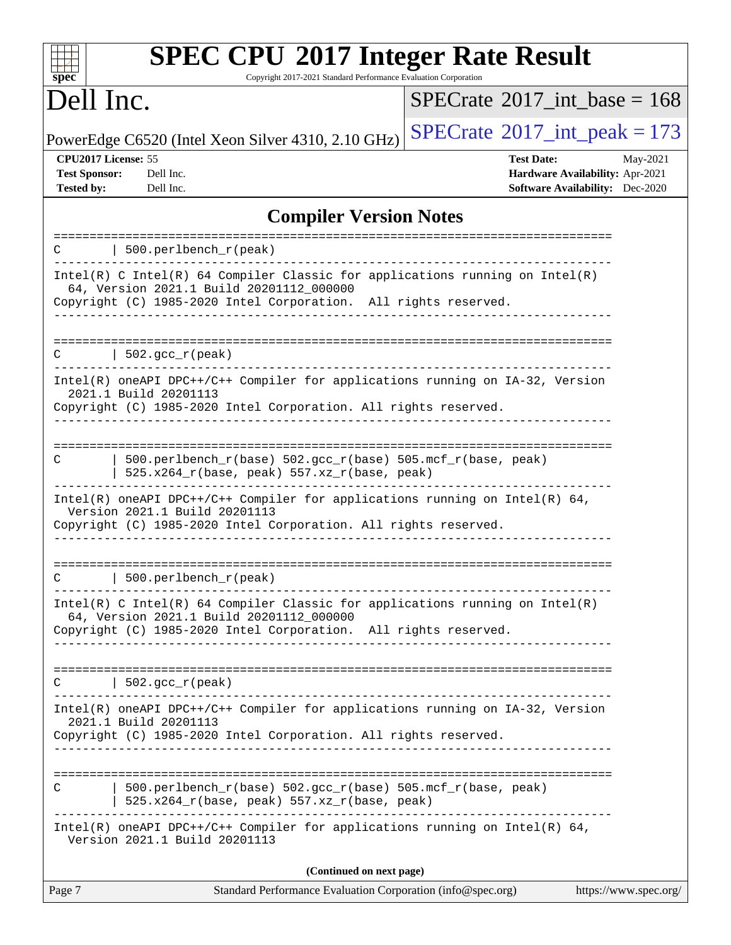| spec <sup>®</sup>                                                | <b>SPEC CPU®2017 Integer Rate Result</b><br>Copyright 2017-2021 Standard Performance Evaluation Corporation                                                                                   |                                                                                                |                       |
|------------------------------------------------------------------|-----------------------------------------------------------------------------------------------------------------------------------------------------------------------------------------------|------------------------------------------------------------------------------------------------|-----------------------|
| Dell Inc.                                                        |                                                                                                                                                                                               | $SPECrate^{\circledast}2017$ int base = 168                                                    |                       |
|                                                                  | PowerEdge C6520 (Intel Xeon Silver 4310, 2.10 GHz)                                                                                                                                            | $SPECTate$ <sup>®</sup> 2017_int_peak = 173                                                    |                       |
| CPU2017 License: 55<br><b>Test Sponsor:</b><br><b>Tested by:</b> | Dell Inc.<br>Dell Inc.                                                                                                                                                                        | <b>Test Date:</b><br>Hardware Availability: Apr-2021<br><b>Software Availability:</b> Dec-2020 | May-2021              |
|                                                                  | <b>Compiler Version Notes</b>                                                                                                                                                                 |                                                                                                |                       |
| C                                                                | 500.perlbench_r(peak)                                                                                                                                                                         |                                                                                                |                       |
|                                                                  | $Intel(R)$ C Intel(R) 64 Compiler Classic for applications running on Intel(R)<br>64, Version 2021.1 Build 20201112_000000<br>Copyright (C) 1985-2020 Intel Corporation. All rights reserved. |                                                                                                |                       |
| С                                                                | $502. \text{gcc\_r}(\text{peak})$                                                                                                                                                             |                                                                                                |                       |
|                                                                  | Intel(R) oneAPI DPC++/C++ Compiler for applications running on IA-32, Version<br>2021.1 Build 20201113<br>Copyright (C) 1985-2020 Intel Corporation. All rights reserved.                     |                                                                                                |                       |
| C                                                                | 500.perlbench_r(base) 502.gcc_r(base) 505.mcf_r(base, peak)<br>525.x264_r(base, peak) 557.xz_r(base, peak)                                                                                    |                                                                                                |                       |
|                                                                  | $Intel(R)$ oneAPI DPC++/C++ Compiler for applications running on Intel(R) 64,<br>Version 2021.1 Build 20201113<br>Copyright (C) 1985-2020 Intel Corporation. All rights reserved.             |                                                                                                |                       |
| C                                                                | 500.perlbench_r(peak)                                                                                                                                                                         |                                                                                                |                       |
|                                                                  | $Intel(R)$ C Intel(R) 64 Compiler Classic for applications running on Intel(R)<br>64, Version 2021.1 Build 20201112_000000<br>Copyright (C) 1985-2020 Intel Corporation. All rights reserved. |                                                                                                |                       |
|                                                                  | $C$   502.gcc_r(peak)                                                                                                                                                                         |                                                                                                |                       |
|                                                                  | Intel(R) oneAPI DPC++/C++ Compiler for applications running on IA-32, Version<br>2021.1 Build 20201113<br>Copyright (C) 1985-2020 Intel Corporation. All rights reserved.                     |                                                                                                |                       |
| C                                                                | 500.perlbench_r(base) 502.gcc_r(base) 505.mcf_r(base, peak)<br>$525.x264_r(base, peak) 557.xz_r(base, peak)$                                                                                  |                                                                                                |                       |
|                                                                  | $Intel(R)$ oneAPI DPC++/C++ Compiler for applications running on Intel(R) 64,<br>Version 2021.1 Build 20201113                                                                                |                                                                                                |                       |
|                                                                  | (Continued on next page)                                                                                                                                                                      |                                                                                                |                       |
| Page 7                                                           | Standard Performance Evaluation Corporation (info@spec.org)                                                                                                                                   |                                                                                                | https://www.spec.org/ |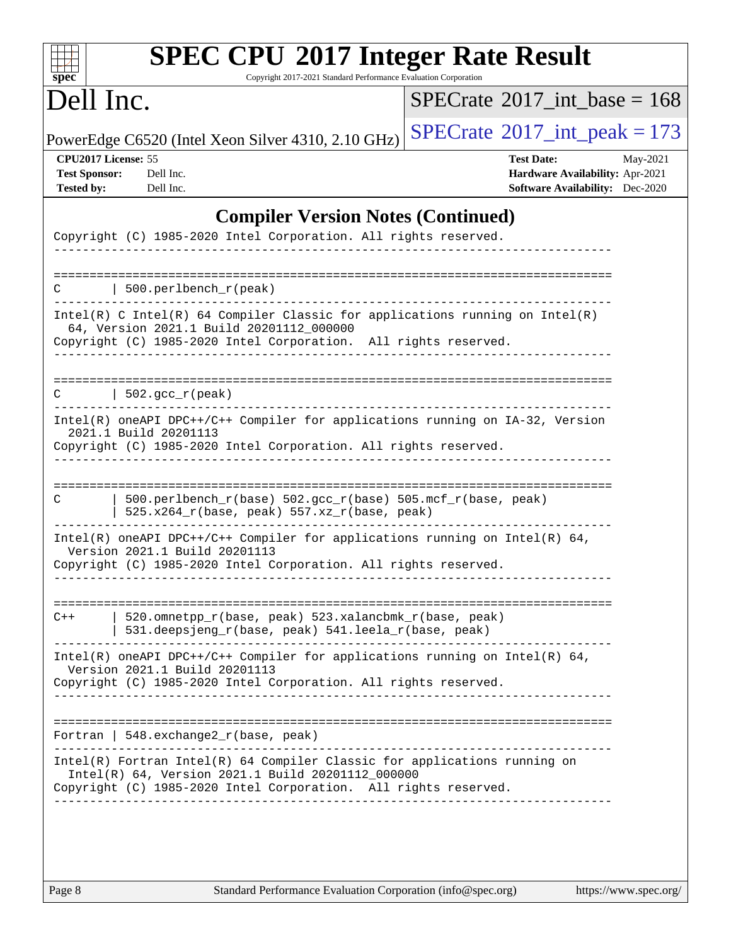| $spec^*$                                                                                                                                                                                          | Copyright 2017-2021 Standard Performance Evaluation Corporation | <b>SPEC CPU®2017 Integer Rate Result</b>                                                                   |
|---------------------------------------------------------------------------------------------------------------------------------------------------------------------------------------------------|-----------------------------------------------------------------|------------------------------------------------------------------------------------------------------------|
| Dell Inc.                                                                                                                                                                                         |                                                                 | $SPECrate^{\circ}2017\_int\_base = 168$                                                                    |
| PowerEdge C6520 (Intel Xeon Silver 4310, 2.10 GHz)                                                                                                                                                |                                                                 | $SPECrate^{\circ}2017\_int\_peak = 173$                                                                    |
| CPU2017 License: 55<br><b>Test Sponsor:</b><br>Dell Inc.<br><b>Tested by:</b><br>Dell Inc.                                                                                                        |                                                                 | <b>Test Date:</b><br>May-2021<br>Hardware Availability: Apr-2021<br><b>Software Availability:</b> Dec-2020 |
|                                                                                                                                                                                                   | <b>Compiler Version Notes (Continued)</b>                       |                                                                                                            |
| Copyright (C) 1985-2020 Intel Corporation. All rights reserved.                                                                                                                                   |                                                                 |                                                                                                            |
| $\vert$ 500.perlbench_r(peak)<br>C                                                                                                                                                                |                                                                 |                                                                                                            |
| Intel(R) C Intel(R) 64 Compiler Classic for applications running on Intel(R)<br>64, Version 2021.1 Build 20201112_000000<br>Copyright (C) 1985-2020 Intel Corporation. All rights reserved.       |                                                                 |                                                                                                            |
| $\vert$ 502.gcc_r(peak)<br>C                                                                                                                                                                      |                                                                 |                                                                                                            |
| Intel(R) oneAPI DPC++/C++ Compiler for applications running on IA-32, Version<br>2021.1 Build 20201113<br>Copyright (C) 1985-2020 Intel Corporation. All rights reserved.                         |                                                                 |                                                                                                            |
| $500. perlbench_r(base) 502. gcc_r(base) 505. mcf_r(base, peak)$<br>C                                                                                                                             |                                                                 |                                                                                                            |
| $525.x264_r(base, peak) 557.xz_r(base, peak)$                                                                                                                                                     |                                                                 |                                                                                                            |
| Intel(R) oneAPI DPC++/C++ Compiler for applications running on Intel(R) $64$ ,<br>Version 2021.1 Build 20201113<br>Copyright (C) 1985-2020 Intel Corporation. All rights reserved.                |                                                                 |                                                                                                            |
|                                                                                                                                                                                                   |                                                                 |                                                                                                            |
| 520.omnetpp_r(base, peak) 523.xalancbmk_r(base, peak)<br>$C++$<br>531.deepsjeng_r(base, peak) 541.leela_r(base, peak)                                                                             |                                                                 |                                                                                                            |
| Intel(R) oneAPI DPC++/C++ Compiler for applications running on Intel(R) $64$ ,<br>Version 2021.1 Build 20201113<br>Copyright (C) 1985-2020 Intel Corporation. All rights reserved.                |                                                                 |                                                                                                            |
|                                                                                                                                                                                                   |                                                                 |                                                                                                            |
| Fortran   $548$ . exchange $2_r$ (base, peak)                                                                                                                                                     |                                                                 |                                                                                                            |
| Intel(R) Fortran Intel(R) 64 Compiler Classic for applications running on<br>Intel(R) 64, Version 2021.1 Build 20201112_000000<br>Copyright (C) 1985-2020 Intel Corporation. All rights reserved. |                                                                 |                                                                                                            |
|                                                                                                                                                                                                   |                                                                 |                                                                                                            |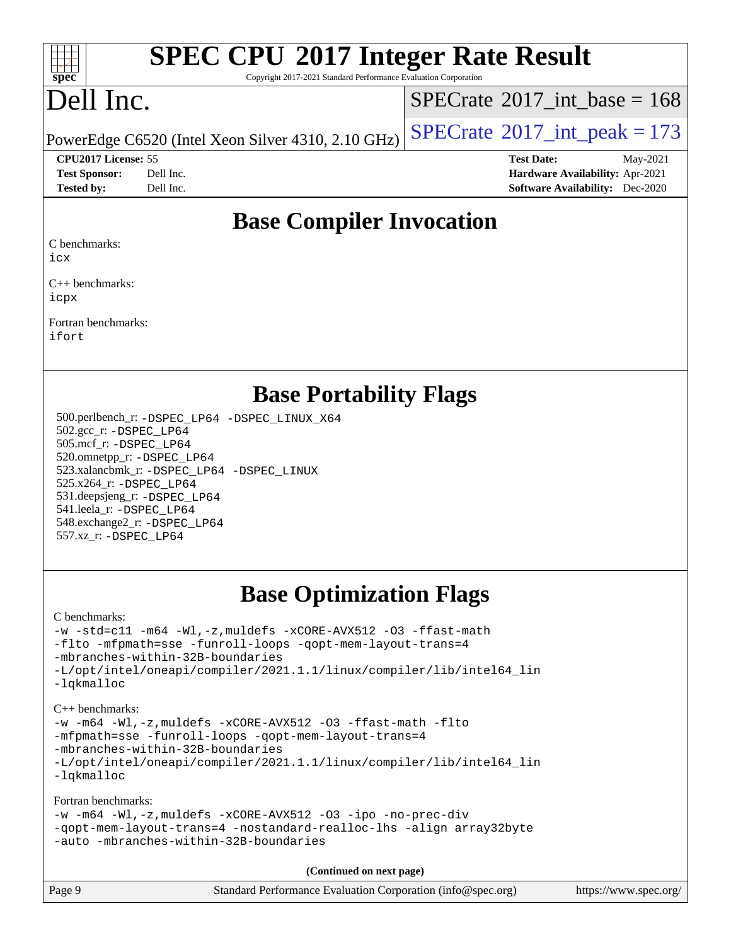

Copyright 2017-2021 Standard Performance Evaluation Corporation

## Dell Inc.

 $SPECTate@2017_int\_base = 168$ 

PowerEdge C6520 (Intel Xeon Silver 4310, 2.10 GHz)  $\left|$  [SPECrate](http://www.spec.org/auto/cpu2017/Docs/result-fields.html#SPECrate2017intpeak)<sup>®</sup>[2017\\_int\\_peak = 1](http://www.spec.org/auto/cpu2017/Docs/result-fields.html#SPECrate2017intpeak)73

**[CPU2017 License:](http://www.spec.org/auto/cpu2017/Docs/result-fields.html#CPU2017License)** 55 **[Test Date:](http://www.spec.org/auto/cpu2017/Docs/result-fields.html#TestDate)** May-2021

**[Test Sponsor:](http://www.spec.org/auto/cpu2017/Docs/result-fields.html#TestSponsor)** Dell Inc. **[Hardware Availability:](http://www.spec.org/auto/cpu2017/Docs/result-fields.html#HardwareAvailability)** Apr-2021 **[Tested by:](http://www.spec.org/auto/cpu2017/Docs/result-fields.html#Testedby)** Dell Inc. **[Software Availability:](http://www.spec.org/auto/cpu2017/Docs/result-fields.html#SoftwareAvailability)** Dec-2020

## **[Base Compiler Invocation](http://www.spec.org/auto/cpu2017/Docs/result-fields.html#BaseCompilerInvocation)**

[C benchmarks](http://www.spec.org/auto/cpu2017/Docs/result-fields.html#Cbenchmarks):

[icx](http://www.spec.org/cpu2017/results/res2021q3/cpu2017-20210617-27023.flags.html#user_CCbase_intel_icx_fe2d28d19ae2a5db7c42fe0f2a2aed77cb715edd4aeb23434404a8be6683fe239869bb6ca8154ca98265c2e3b9226a719a0efe2953a4a7018c379b7010ccf087)

[C++ benchmarks:](http://www.spec.org/auto/cpu2017/Docs/result-fields.html#CXXbenchmarks) [icpx](http://www.spec.org/cpu2017/results/res2021q3/cpu2017-20210617-27023.flags.html#user_CXXbase_intel_icpx_1e918ed14c436bf4b9b7c8bcdd51d4539fc71b3df010bd1e9f8732d9c34c2b2914e48204a846820f3c0ebb4095dea797a5c30b458ac0b6dffac65d78f781f5ca)

[Fortran benchmarks](http://www.spec.org/auto/cpu2017/Docs/result-fields.html#Fortranbenchmarks): [ifort](http://www.spec.org/cpu2017/results/res2021q3/cpu2017-20210617-27023.flags.html#user_FCbase_intel_ifort_8111460550e3ca792625aed983ce982f94888b8b503583aa7ba2b8303487b4d8a21a13e7191a45c5fd58ff318f48f9492884d4413fa793fd88dd292cad7027ca)

### **[Base Portability Flags](http://www.spec.org/auto/cpu2017/Docs/result-fields.html#BasePortabilityFlags)**

 500.perlbench\_r: [-DSPEC\\_LP64](http://www.spec.org/cpu2017/results/res2021q3/cpu2017-20210617-27023.flags.html#b500.perlbench_r_basePORTABILITY_DSPEC_LP64) [-DSPEC\\_LINUX\\_X64](http://www.spec.org/cpu2017/results/res2021q3/cpu2017-20210617-27023.flags.html#b500.perlbench_r_baseCPORTABILITY_DSPEC_LINUX_X64) 502.gcc\_r: [-DSPEC\\_LP64](http://www.spec.org/cpu2017/results/res2021q3/cpu2017-20210617-27023.flags.html#suite_basePORTABILITY502_gcc_r_DSPEC_LP64) 505.mcf\_r: [-DSPEC\\_LP64](http://www.spec.org/cpu2017/results/res2021q3/cpu2017-20210617-27023.flags.html#suite_basePORTABILITY505_mcf_r_DSPEC_LP64) 520.omnetpp\_r: [-DSPEC\\_LP64](http://www.spec.org/cpu2017/results/res2021q3/cpu2017-20210617-27023.flags.html#suite_basePORTABILITY520_omnetpp_r_DSPEC_LP64) 523.xalancbmk\_r: [-DSPEC\\_LP64](http://www.spec.org/cpu2017/results/res2021q3/cpu2017-20210617-27023.flags.html#suite_basePORTABILITY523_xalancbmk_r_DSPEC_LP64) [-DSPEC\\_LINUX](http://www.spec.org/cpu2017/results/res2021q3/cpu2017-20210617-27023.flags.html#b523.xalancbmk_r_baseCXXPORTABILITY_DSPEC_LINUX) 525.x264\_r: [-DSPEC\\_LP64](http://www.spec.org/cpu2017/results/res2021q3/cpu2017-20210617-27023.flags.html#suite_basePORTABILITY525_x264_r_DSPEC_LP64) 531.deepsjeng\_r: [-DSPEC\\_LP64](http://www.spec.org/cpu2017/results/res2021q3/cpu2017-20210617-27023.flags.html#suite_basePORTABILITY531_deepsjeng_r_DSPEC_LP64) 541.leela\_r: [-DSPEC\\_LP64](http://www.spec.org/cpu2017/results/res2021q3/cpu2017-20210617-27023.flags.html#suite_basePORTABILITY541_leela_r_DSPEC_LP64) 548.exchange2\_r: [-DSPEC\\_LP64](http://www.spec.org/cpu2017/results/res2021q3/cpu2017-20210617-27023.flags.html#suite_basePORTABILITY548_exchange2_r_DSPEC_LP64) 557.xz\_r: [-DSPEC\\_LP64](http://www.spec.org/cpu2017/results/res2021q3/cpu2017-20210617-27023.flags.html#suite_basePORTABILITY557_xz_r_DSPEC_LP64)

## **[Base Optimization Flags](http://www.spec.org/auto/cpu2017/Docs/result-fields.html#BaseOptimizationFlags)**

[C benchmarks](http://www.spec.org/auto/cpu2017/Docs/result-fields.html#Cbenchmarks):

```
-w -std=c11 -m64 -Wl,-z,muldefs -xCORE-AVX512 -O3 -ffast-math
-flto -mfpmath=sse -funroll-loops -qopt-mem-layout-trans=4
-mbranches-within-32B-boundaries
-L/opt/intel/oneapi/compiler/2021.1.1/linux/compiler/lib/intel64_lin
-lqkmalloc
```
[C++ benchmarks:](http://www.spec.org/auto/cpu2017/Docs/result-fields.html#CXXbenchmarks) [-w](http://www.spec.org/cpu2017/results/res2021q3/cpu2017-20210617-27023.flags.html#user_CXXbase_supress_warning_66fb2c4e5c1dd10f38bdd29623979399e5ae75ae6e5453792d82ef66afed381df4a8602f92cac8d2ea0fffa7b93b4b1ccb9ecad4af01c9b2fe338b2082ae3859) [-m64](http://www.spec.org/cpu2017/results/res2021q3/cpu2017-20210617-27023.flags.html#user_CXXbase_m64-icc) [-Wl,-z,muldefs](http://www.spec.org/cpu2017/results/res2021q3/cpu2017-20210617-27023.flags.html#user_CXXbase_link_force_multiple1_b4cbdb97b34bdee9ceefcfe54f4c8ea74255f0b02a4b23e853cdb0e18eb4525ac79b5a88067c842dd0ee6996c24547a27a4b99331201badda8798ef8a743f577) [-xCORE-AVX512](http://www.spec.org/cpu2017/results/res2021q3/cpu2017-20210617-27023.flags.html#user_CXXbase_f-xCORE-AVX512) [-O3](http://www.spec.org/cpu2017/results/res2021q3/cpu2017-20210617-27023.flags.html#user_CXXbase_f-O3) [-ffast-math](http://www.spec.org/cpu2017/results/res2021q3/cpu2017-20210617-27023.flags.html#user_CXXbase_f-ffast-math) [-flto](http://www.spec.org/cpu2017/results/res2021q3/cpu2017-20210617-27023.flags.html#user_CXXbase_f-flto) [-mfpmath=sse](http://www.spec.org/cpu2017/results/res2021q3/cpu2017-20210617-27023.flags.html#user_CXXbase_f-mfpmath_70eb8fac26bde974f8ab713bc9086c5621c0b8d2f6c86f38af0bd7062540daf19db5f3a066d8c6684be05d84c9b6322eb3b5be6619d967835195b93d6c02afa1) [-funroll-loops](http://www.spec.org/cpu2017/results/res2021q3/cpu2017-20210617-27023.flags.html#user_CXXbase_f-funroll-loops) [-qopt-mem-layout-trans=4](http://www.spec.org/cpu2017/results/res2021q3/cpu2017-20210617-27023.flags.html#user_CXXbase_f-qopt-mem-layout-trans_fa39e755916c150a61361b7846f310bcdf6f04e385ef281cadf3647acec3f0ae266d1a1d22d972a7087a248fd4e6ca390a3634700869573d231a252c784941a8) [-mbranches-within-32B-boundaries](http://www.spec.org/cpu2017/results/res2021q3/cpu2017-20210617-27023.flags.html#user_CXXbase_f-mbranches-within-32B-boundaries) [-L/opt/intel/oneapi/compiler/2021.1.1/linux/compiler/lib/intel64\\_lin](http://www.spec.org/cpu2017/results/res2021q3/cpu2017-20210617-27023.flags.html#user_CXXbase_linkpath_f3ac96bc44eb3356c66274e76f12ce7989555e6431aa425d8bf37251b5a0a8e4f20d385a762420f3e0cdf627bb737484454017ddfa67f55a42ce17058c8be12d) [-lqkmalloc](http://www.spec.org/cpu2017/results/res2021q3/cpu2017-20210617-27023.flags.html#user_CXXbase_qkmalloc_link_lib_79a818439969f771c6bc311cfd333c00fc099dad35c030f5aab9dda831713d2015205805422f83de8875488a2991c0a156aaa600e1f9138f8fc37004abc96dc5)

[Fortran benchmarks](http://www.spec.org/auto/cpu2017/Docs/result-fields.html#Fortranbenchmarks):

```
-w -m64 -Wl,-z,muldefs -xCORE-AVX512 -O3 -ipo -no-prec-div
-qopt-mem-layout-trans=4 -nostandard-realloc-lhs -align array32byte
-auto -mbranches-within-32B-boundaries
```
**(Continued on next page)**

| Page 9 | Standard Performance Evaluation Corporation (info@spec.org) | https://www.spec.org/ |
|--------|-------------------------------------------------------------|-----------------------|
|--------|-------------------------------------------------------------|-----------------------|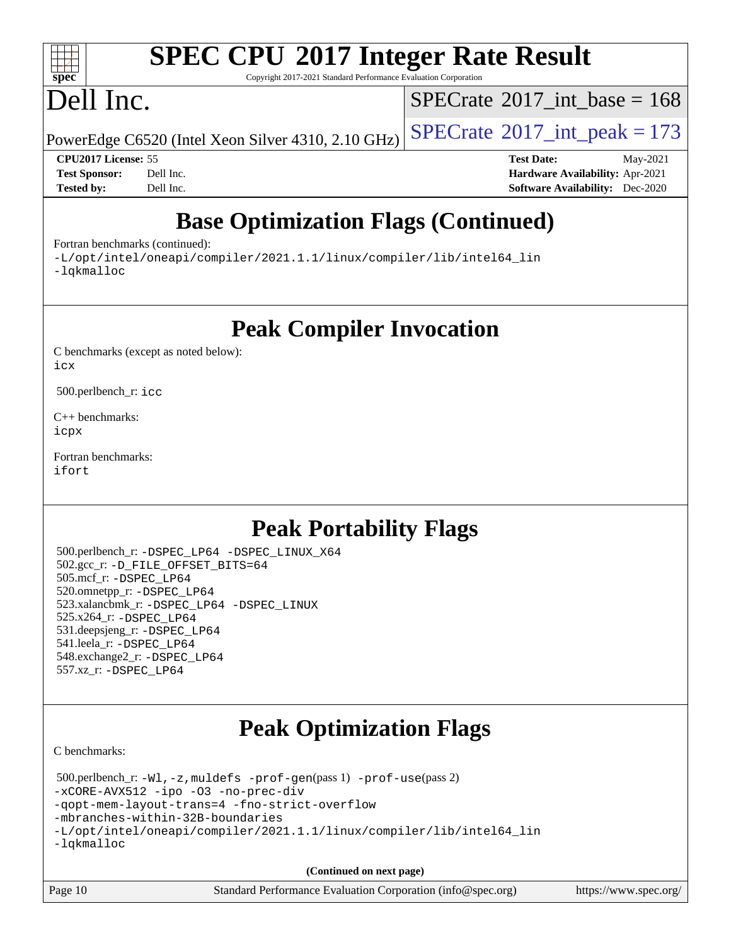#### $\pm\pm\tau$ **[spec](http://www.spec.org/)**

# **[SPEC CPU](http://www.spec.org/auto/cpu2017/Docs/result-fields.html#SPECCPU2017IntegerRateResult)[2017 Integer Rate Result](http://www.spec.org/auto/cpu2017/Docs/result-fields.html#SPECCPU2017IntegerRateResult)**

Copyright 2017-2021 Standard Performance Evaluation Corporation

# Dell Inc.

 $SPECTate@2017_int\_base = 168$ 

PowerEdge C6520 (Intel Xeon Silver 4310, 2.10 GHz)  $\left|$  [SPECrate](http://www.spec.org/auto/cpu2017/Docs/result-fields.html#SPECrate2017intpeak)<sup>®</sup>[2017\\_int\\_peak = 1](http://www.spec.org/auto/cpu2017/Docs/result-fields.html#SPECrate2017intpeak)73

**[CPU2017 License:](http://www.spec.org/auto/cpu2017/Docs/result-fields.html#CPU2017License)** 55 **[Test Date:](http://www.spec.org/auto/cpu2017/Docs/result-fields.html#TestDate)** May-2021 **[Test Sponsor:](http://www.spec.org/auto/cpu2017/Docs/result-fields.html#TestSponsor)** Dell Inc. **[Hardware Availability:](http://www.spec.org/auto/cpu2017/Docs/result-fields.html#HardwareAvailability)** Apr-2021 **[Tested by:](http://www.spec.org/auto/cpu2017/Docs/result-fields.html#Testedby)** Dell Inc. **[Software Availability:](http://www.spec.org/auto/cpu2017/Docs/result-fields.html#SoftwareAvailability)** Dec-2020

## **[Base Optimization Flags \(Continued\)](http://www.spec.org/auto/cpu2017/Docs/result-fields.html#BaseOptimizationFlags)**

[Fortran benchmarks](http://www.spec.org/auto/cpu2017/Docs/result-fields.html#Fortranbenchmarks) (continued):

[-L/opt/intel/oneapi/compiler/2021.1.1/linux/compiler/lib/intel64\\_lin](http://www.spec.org/cpu2017/results/res2021q3/cpu2017-20210617-27023.flags.html#user_FCbase_linkpath_f3ac96bc44eb3356c66274e76f12ce7989555e6431aa425d8bf37251b5a0a8e4f20d385a762420f3e0cdf627bb737484454017ddfa67f55a42ce17058c8be12d) [-lqkmalloc](http://www.spec.org/cpu2017/results/res2021q3/cpu2017-20210617-27023.flags.html#user_FCbase_qkmalloc_link_lib_79a818439969f771c6bc311cfd333c00fc099dad35c030f5aab9dda831713d2015205805422f83de8875488a2991c0a156aaa600e1f9138f8fc37004abc96dc5)

**[Peak Compiler Invocation](http://www.spec.org/auto/cpu2017/Docs/result-fields.html#PeakCompilerInvocation)**

[C benchmarks \(except as noted below\)](http://www.spec.org/auto/cpu2017/Docs/result-fields.html#Cbenchmarksexceptasnotedbelow): [icx](http://www.spec.org/cpu2017/results/res2021q3/cpu2017-20210617-27023.flags.html#user_CCpeak_intel_icx_fe2d28d19ae2a5db7c42fe0f2a2aed77cb715edd4aeb23434404a8be6683fe239869bb6ca8154ca98265c2e3b9226a719a0efe2953a4a7018c379b7010ccf087)

500.perlbench\_r: [icc](http://www.spec.org/cpu2017/results/res2021q3/cpu2017-20210617-27023.flags.html#user_peakCCLD500_perlbench_r_intel_icc_66fc1ee009f7361af1fbd72ca7dcefbb700085f36577c54f309893dd4ec40d12360134090235512931783d35fd58c0460139e722d5067c5574d8eaf2b3e37e92)

[C++ benchmarks:](http://www.spec.org/auto/cpu2017/Docs/result-fields.html#CXXbenchmarks) [icpx](http://www.spec.org/cpu2017/results/res2021q3/cpu2017-20210617-27023.flags.html#user_CXXpeak_intel_icpx_1e918ed14c436bf4b9b7c8bcdd51d4539fc71b3df010bd1e9f8732d9c34c2b2914e48204a846820f3c0ebb4095dea797a5c30b458ac0b6dffac65d78f781f5ca)

[Fortran benchmarks](http://www.spec.org/auto/cpu2017/Docs/result-fields.html#Fortranbenchmarks): [ifort](http://www.spec.org/cpu2017/results/res2021q3/cpu2017-20210617-27023.flags.html#user_FCpeak_intel_ifort_8111460550e3ca792625aed983ce982f94888b8b503583aa7ba2b8303487b4d8a21a13e7191a45c5fd58ff318f48f9492884d4413fa793fd88dd292cad7027ca)

## **[Peak Portability Flags](http://www.spec.org/auto/cpu2017/Docs/result-fields.html#PeakPortabilityFlags)**

 500.perlbench\_r: [-DSPEC\\_LP64](http://www.spec.org/cpu2017/results/res2021q3/cpu2017-20210617-27023.flags.html#b500.perlbench_r_peakPORTABILITY_DSPEC_LP64) [-DSPEC\\_LINUX\\_X64](http://www.spec.org/cpu2017/results/res2021q3/cpu2017-20210617-27023.flags.html#b500.perlbench_r_peakCPORTABILITY_DSPEC_LINUX_X64) 502.gcc\_r: [-D\\_FILE\\_OFFSET\\_BITS=64](http://www.spec.org/cpu2017/results/res2021q3/cpu2017-20210617-27023.flags.html#user_peakPORTABILITY502_gcc_r_file_offset_bits_64_5ae949a99b284ddf4e95728d47cb0843d81b2eb0e18bdfe74bbf0f61d0b064f4bda2f10ea5eb90e1dcab0e84dbc592acfc5018bc955c18609f94ddb8d550002c) 505.mcf\_r: [-DSPEC\\_LP64](http://www.spec.org/cpu2017/results/res2021q3/cpu2017-20210617-27023.flags.html#suite_peakPORTABILITY505_mcf_r_DSPEC_LP64) 520.omnetpp\_r: [-DSPEC\\_LP64](http://www.spec.org/cpu2017/results/res2021q3/cpu2017-20210617-27023.flags.html#suite_peakPORTABILITY520_omnetpp_r_DSPEC_LP64) 523.xalancbmk\_r: [-DSPEC\\_LP64](http://www.spec.org/cpu2017/results/res2021q3/cpu2017-20210617-27023.flags.html#suite_peakPORTABILITY523_xalancbmk_r_DSPEC_LP64) [-DSPEC\\_LINUX](http://www.spec.org/cpu2017/results/res2021q3/cpu2017-20210617-27023.flags.html#b523.xalancbmk_r_peakCXXPORTABILITY_DSPEC_LINUX) 525.x264\_r: [-DSPEC\\_LP64](http://www.spec.org/cpu2017/results/res2021q3/cpu2017-20210617-27023.flags.html#suite_peakPORTABILITY525_x264_r_DSPEC_LP64) 531.deepsjeng\_r: [-DSPEC\\_LP64](http://www.spec.org/cpu2017/results/res2021q3/cpu2017-20210617-27023.flags.html#suite_peakPORTABILITY531_deepsjeng_r_DSPEC_LP64) 541.leela\_r: [-DSPEC\\_LP64](http://www.spec.org/cpu2017/results/res2021q3/cpu2017-20210617-27023.flags.html#suite_peakPORTABILITY541_leela_r_DSPEC_LP64) 548.exchange2\_r: [-DSPEC\\_LP64](http://www.spec.org/cpu2017/results/res2021q3/cpu2017-20210617-27023.flags.html#suite_peakPORTABILITY548_exchange2_r_DSPEC_LP64) 557.xz\_r: [-DSPEC\\_LP64](http://www.spec.org/cpu2017/results/res2021q3/cpu2017-20210617-27023.flags.html#suite_peakPORTABILITY557_xz_r_DSPEC_LP64)

## **[Peak Optimization Flags](http://www.spec.org/auto/cpu2017/Docs/result-fields.html#PeakOptimizationFlags)**

[C benchmarks](http://www.spec.org/auto/cpu2017/Docs/result-fields.html#Cbenchmarks):

 500.perlbench\_r: [-Wl,-z,muldefs](http://www.spec.org/cpu2017/results/res2021q3/cpu2017-20210617-27023.flags.html#user_peakEXTRA_LDFLAGS500_perlbench_r_link_force_multiple1_b4cbdb97b34bdee9ceefcfe54f4c8ea74255f0b02a4b23e853cdb0e18eb4525ac79b5a88067c842dd0ee6996c24547a27a4b99331201badda8798ef8a743f577) [-prof-gen](http://www.spec.org/cpu2017/results/res2021q3/cpu2017-20210617-27023.flags.html#user_peakPASS1_CFLAGSPASS1_LDFLAGS500_perlbench_r_prof_gen_5aa4926d6013ddb2a31985c654b3eb18169fc0c6952a63635c234f711e6e63dd76e94ad52365559451ec499a2cdb89e4dc58ba4c67ef54ca681ffbe1461d6b36)(pass 1) [-prof-use](http://www.spec.org/cpu2017/results/res2021q3/cpu2017-20210617-27023.flags.html#user_peakPASS2_CFLAGSPASS2_LDFLAGS500_perlbench_r_prof_use_1a21ceae95f36a2b53c25747139a6c16ca95bd9def2a207b4f0849963b97e94f5260e30a0c64f4bb623698870e679ca08317ef8150905d41bd88c6f78df73f19)(pass 2) [-xCORE-AVX512](http://www.spec.org/cpu2017/results/res2021q3/cpu2017-20210617-27023.flags.html#user_peakCOPTIMIZE500_perlbench_r_f-xCORE-AVX512) [-ipo](http://www.spec.org/cpu2017/results/res2021q3/cpu2017-20210617-27023.flags.html#user_peakCOPTIMIZE500_perlbench_r_f-ipo) [-O3](http://www.spec.org/cpu2017/results/res2021q3/cpu2017-20210617-27023.flags.html#user_peakCOPTIMIZE500_perlbench_r_f-O3) [-no-prec-div](http://www.spec.org/cpu2017/results/res2021q3/cpu2017-20210617-27023.flags.html#user_peakCOPTIMIZE500_perlbench_r_f-no-prec-div) [-qopt-mem-layout-trans=4](http://www.spec.org/cpu2017/results/res2021q3/cpu2017-20210617-27023.flags.html#user_peakCOPTIMIZE500_perlbench_r_f-qopt-mem-layout-trans_fa39e755916c150a61361b7846f310bcdf6f04e385ef281cadf3647acec3f0ae266d1a1d22d972a7087a248fd4e6ca390a3634700869573d231a252c784941a8) [-fno-strict-overflow](http://www.spec.org/cpu2017/results/res2021q3/cpu2017-20210617-27023.flags.html#user_peakEXTRA_OPTIMIZE500_perlbench_r_f-fno-strict-overflow) [-mbranches-within-32B-boundaries](http://www.spec.org/cpu2017/results/res2021q3/cpu2017-20210617-27023.flags.html#user_peakEXTRA_COPTIMIZE500_perlbench_r_f-mbranches-within-32B-boundaries) [-L/opt/intel/oneapi/compiler/2021.1.1/linux/compiler/lib/intel64\\_lin](http://www.spec.org/cpu2017/results/res2021q3/cpu2017-20210617-27023.flags.html#user_peakEXTRA_LIBS500_perlbench_r_linkpath_f3ac96bc44eb3356c66274e76f12ce7989555e6431aa425d8bf37251b5a0a8e4f20d385a762420f3e0cdf627bb737484454017ddfa67f55a42ce17058c8be12d) [-lqkmalloc](http://www.spec.org/cpu2017/results/res2021q3/cpu2017-20210617-27023.flags.html#user_peakEXTRA_LIBS500_perlbench_r_qkmalloc_link_lib_79a818439969f771c6bc311cfd333c00fc099dad35c030f5aab9dda831713d2015205805422f83de8875488a2991c0a156aaa600e1f9138f8fc37004abc96dc5)

**(Continued on next page)**

| Page 10 | Standard Performance Evaluation Corporation (info@spec.org) | https://www.spec.org/ |
|---------|-------------------------------------------------------------|-----------------------|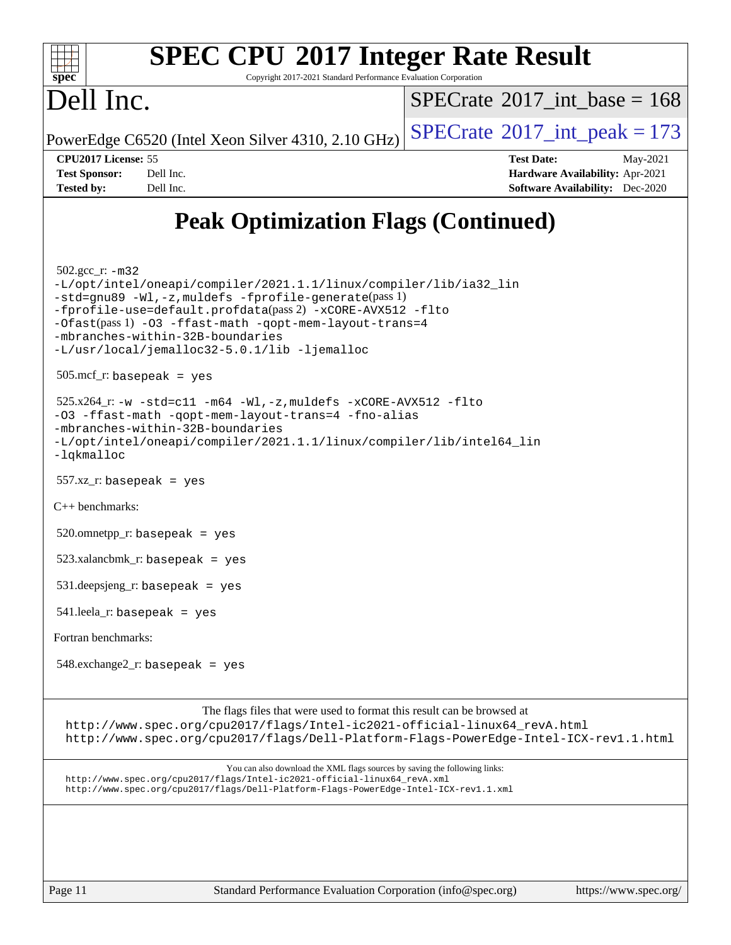

Copyright 2017-2021 Standard Performance Evaluation Corporation

## Dell Inc.

 $SPECTate$ <sup>®</sup>[2017\\_int\\_base =](http://www.spec.org/auto/cpu2017/Docs/result-fields.html#SPECrate2017intbase) 168

PowerEdge C6520 (Intel Xeon Silver 4310, 2.10 GHz)  $\left|$  [SPECrate](http://www.spec.org/auto/cpu2017/Docs/result-fields.html#SPECrate2017intpeak)<sup>®</sup>[2017\\_int\\_peak = 1](http://www.spec.org/auto/cpu2017/Docs/result-fields.html#SPECrate2017intpeak)73

**[CPU2017 License:](http://www.spec.org/auto/cpu2017/Docs/result-fields.html#CPU2017License)** 55 **[Test Date:](http://www.spec.org/auto/cpu2017/Docs/result-fields.html#TestDate)** May-2021 **[Test Sponsor:](http://www.spec.org/auto/cpu2017/Docs/result-fields.html#TestSponsor)** Dell Inc. **[Hardware Availability:](http://www.spec.org/auto/cpu2017/Docs/result-fields.html#HardwareAvailability)** Apr-2021 **[Tested by:](http://www.spec.org/auto/cpu2017/Docs/result-fields.html#Testedby)** Dell Inc. **[Software Availability:](http://www.spec.org/auto/cpu2017/Docs/result-fields.html#SoftwareAvailability)** Dec-2020

## **[Peak Optimization Flags \(Continued\)](http://www.spec.org/auto/cpu2017/Docs/result-fields.html#PeakOptimizationFlags)**

502.gcc\_r: [-m32](http://www.spec.org/cpu2017/results/res2021q3/cpu2017-20210617-27023.flags.html#user_peakCCLD502_gcc_r_m32-icc)

[-L/opt/intel/oneapi/compiler/2021.1.1/linux/compiler/lib/ia32\\_lin](http://www.spec.org/cpu2017/results/res2021q3/cpu2017-20210617-27023.flags.html#user_peakCCLD502_gcc_r_linkpath_48852f4866bdefaecc4130e6e65c91d213b08e99e37858164f561afe78c31bff13803d278df34556ae75548cb17efd588271966a116ddc0b0983c2c9a95c4f41) [-std=gnu89](http://www.spec.org/cpu2017/results/res2021q3/cpu2017-20210617-27023.flags.html#user_peakCCLD502_gcc_r_f-std_f3cc2e520142451d42b8d64ee452c6877603de867a66777769b4e3f9b376c2a8742d66df6a4ffb5b483abd54df63aab35a2f4fe1181eb389a18cdcc50fd950e3) [-Wl,-z,muldefs](http://www.spec.org/cpu2017/results/res2021q3/cpu2017-20210617-27023.flags.html#user_peakEXTRA_LDFLAGS502_gcc_r_link_force_multiple1_b4cbdb97b34bdee9ceefcfe54f4c8ea74255f0b02a4b23e853cdb0e18eb4525ac79b5a88067c842dd0ee6996c24547a27a4b99331201badda8798ef8a743f577) [-fprofile-generate](http://www.spec.org/cpu2017/results/res2021q3/cpu2017-20210617-27023.flags.html#user_peakPASS1_CFLAGSPASS1_LDFLAGS502_gcc_r_fprofile-generate)(pass 1) [-fprofile-use=default.profdata](http://www.spec.org/cpu2017/results/res2021q3/cpu2017-20210617-27023.flags.html#user_peakPASS2_CFLAGSPASS2_LDFLAGS502_gcc_r_fprofile-use_56aeee182b92ec249f9670f17c9b8e7d83fe2d25538e35a2cf64c434b579a2235a8b8fc66ef5678d24461366bbab9d486c870d8a72905233fc08e43eefe3cd80)(pass 2) [-xCORE-AVX512](http://www.spec.org/cpu2017/results/res2021q3/cpu2017-20210617-27023.flags.html#user_peakCOPTIMIZEPASS1_CFLAGSPASS1_LDFLAGS502_gcc_r_f-xCORE-AVX512) [-flto](http://www.spec.org/cpu2017/results/res2021q3/cpu2017-20210617-27023.flags.html#user_peakCOPTIMIZEPASS1_CFLAGSPASS1_LDFLAGS502_gcc_r_f-flto) [-Ofast](http://www.spec.org/cpu2017/results/res2021q3/cpu2017-20210617-27023.flags.html#user_peakPASS1_CFLAGSPASS1_LDFLAGS502_gcc_r_f-Ofast)(pass 1) [-O3](http://www.spec.org/cpu2017/results/res2021q3/cpu2017-20210617-27023.flags.html#user_peakCOPTIMIZE502_gcc_r_f-O3) [-ffast-math](http://www.spec.org/cpu2017/results/res2021q3/cpu2017-20210617-27023.flags.html#user_peakCOPTIMIZE502_gcc_r_f-ffast-math) [-qopt-mem-layout-trans=4](http://www.spec.org/cpu2017/results/res2021q3/cpu2017-20210617-27023.flags.html#user_peakCOPTIMIZE502_gcc_r_f-qopt-mem-layout-trans_fa39e755916c150a61361b7846f310bcdf6f04e385ef281cadf3647acec3f0ae266d1a1d22d972a7087a248fd4e6ca390a3634700869573d231a252c784941a8) [-mbranches-within-32B-boundaries](http://www.spec.org/cpu2017/results/res2021q3/cpu2017-20210617-27023.flags.html#user_peakEXTRA_COPTIMIZE502_gcc_r_f-mbranches-within-32B-boundaries) [-L/usr/local/jemalloc32-5.0.1/lib](http://www.spec.org/cpu2017/results/res2021q3/cpu2017-20210617-27023.flags.html#user_peakEXTRA_LIBS502_gcc_r_jemalloc_link_path32_1_3ce7b59db3b357dbaf7ad791266c9ba04a7e4933c209d6be2abbddfa003f7b11a662224df663b38de6e5da607f395338b5ea7f15fbbebbfcf43a38f170721399) [-ljemalloc](http://www.spec.org/cpu2017/results/res2021q3/cpu2017-20210617-27023.flags.html#user_peakEXTRA_LIBS502_gcc_r_jemalloc_link_lib_d1249b907c500fa1c0672f44f562e3d0f79738ae9e3c4a9c376d49f265a04b9c99b167ecedbf6711b3085be911c67ff61f150a17b3472be731631ba4d0471706) 505.mcf\_r: basepeak = yes

 $525.x264$ \_r:  $-w$   $-std= c11$   $-m64$   $-Wl$ ,  $-z$ , muldefs  $-xCORE-AVX512$   $-flto$ [-O3](http://www.spec.org/cpu2017/results/res2021q3/cpu2017-20210617-27023.flags.html#user_peakCOPTIMIZE525_x264_r_f-O3) [-ffast-math](http://www.spec.org/cpu2017/results/res2021q3/cpu2017-20210617-27023.flags.html#user_peakCOPTIMIZE525_x264_r_f-ffast-math) [-qopt-mem-layout-trans=4](http://www.spec.org/cpu2017/results/res2021q3/cpu2017-20210617-27023.flags.html#user_peakCOPTIMIZE525_x264_r_f-qopt-mem-layout-trans_fa39e755916c150a61361b7846f310bcdf6f04e385ef281cadf3647acec3f0ae266d1a1d22d972a7087a248fd4e6ca390a3634700869573d231a252c784941a8) [-fno-alias](http://www.spec.org/cpu2017/results/res2021q3/cpu2017-20210617-27023.flags.html#user_peakEXTRA_OPTIMIZE525_x264_r_f-no-alias_77dbac10d91cbfe898fbf4a29d1b29b694089caa623bdd1baccc9957d4edbe8d106c0b357e2748a65b44fc9e83d78098bb898077f3fe92f9faf24f7bd4a07ed7) [-mbranches-within-32B-boundaries](http://www.spec.org/cpu2017/results/res2021q3/cpu2017-20210617-27023.flags.html#user_peakEXTRA_COPTIMIZE525_x264_r_f-mbranches-within-32B-boundaries) [-L/opt/intel/oneapi/compiler/2021.1.1/linux/compiler/lib/intel64\\_lin](http://www.spec.org/cpu2017/results/res2021q3/cpu2017-20210617-27023.flags.html#user_peakEXTRA_LIBS525_x264_r_linkpath_f3ac96bc44eb3356c66274e76f12ce7989555e6431aa425d8bf37251b5a0a8e4f20d385a762420f3e0cdf627bb737484454017ddfa67f55a42ce17058c8be12d) [-lqkmalloc](http://www.spec.org/cpu2017/results/res2021q3/cpu2017-20210617-27023.flags.html#user_peakEXTRA_LIBS525_x264_r_qkmalloc_link_lib_79a818439969f771c6bc311cfd333c00fc099dad35c030f5aab9dda831713d2015205805422f83de8875488a2991c0a156aaa600e1f9138f8fc37004abc96dc5)

557.xz\_r: basepeak = yes

[C++ benchmarks:](http://www.spec.org/auto/cpu2017/Docs/result-fields.html#CXXbenchmarks)

 $520.$ omnetpp\_r: basepeak = yes

523.xalancbmk\_r: basepeak = yes

531.deepsjeng\_r: basepeak = yes

541.leela\_r: basepeak = yes

[Fortran benchmarks](http://www.spec.org/auto/cpu2017/Docs/result-fields.html#Fortranbenchmarks):

 $548$ .exchange $2$ \_r: basepeak = yes

[The flags files that were used to format this result can be browsed at](tmsearch)

[http://www.spec.org/cpu2017/flags/Intel-ic2021-official-linux64\\_revA.html](http://www.spec.org/cpu2017/flags/Intel-ic2021-official-linux64_revA.html) <http://www.spec.org/cpu2017/flags/Dell-Platform-Flags-PowerEdge-Intel-ICX-rev1.1.html>

[You can also download the XML flags sources by saving the following links:](tmsearch) [http://www.spec.org/cpu2017/flags/Intel-ic2021-official-linux64\\_revA.xml](http://www.spec.org/cpu2017/flags/Intel-ic2021-official-linux64_revA.xml) <http://www.spec.org/cpu2017/flags/Dell-Platform-Flags-PowerEdge-Intel-ICX-rev1.1.xml>